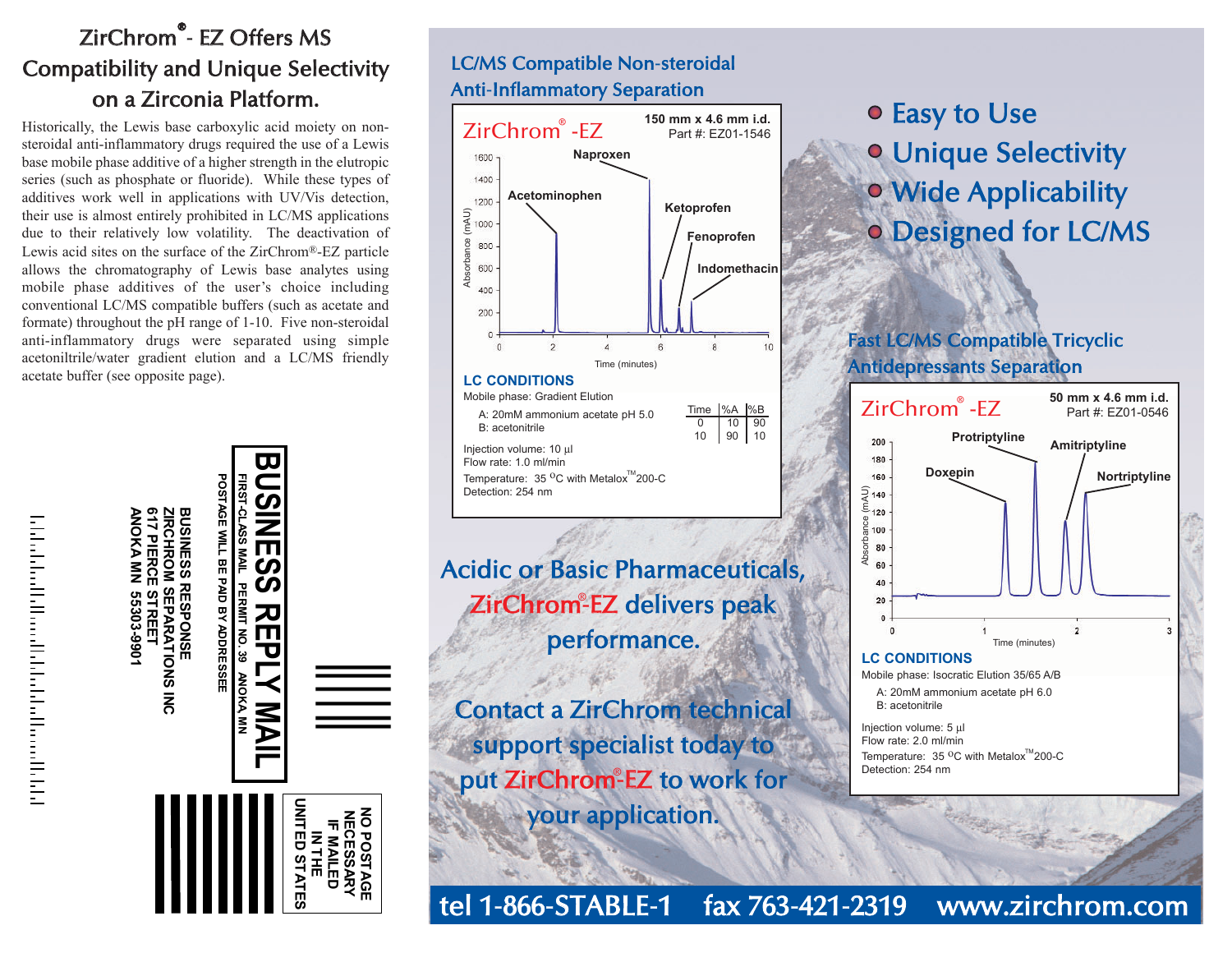# ZirChrom®- EZ Offers MS Compatibility and Unique Selectivity o n a Zirc o nia Platform.

Historically, the Lewis base carboxylic acid moiety on nonsteroidal anti-inflammatory drugs required the use of a Lewis base mobile phase additive of a higher strength in the elutropic series (such as phosphate or fluoride). While these types of additives work well in applications with UV/Vis detection, their use is almost entirely prohibited in LC/MS applications due to their relatively low volatility. The deactivation of Lewis acid sites on the surface of the ZirChrom ®-EZ particle allows the chromatography of Lewis base analytes using mobile phase additives of the user's choice including conventional LC/MS compatible buffers (such as acetate and formate) throughout the pH range of 1-10. Five non-steroidal anti-inflammatory drugs were separated using simple acetoniltrile/water gradient elution and a LC/MS friendly acetate buffer (see opposite page).



اخاطب والمستوات والمستحلة والمتعاطف والمستقلة المائية





Acidic or Basic Pharmaceuticals, ZirChrom-EZ delivers peak performance.

Contact a ZirChrom technical support specialist today to put ZirChrom-EZ to work for your application.

- E a s y t o U s e
- Unique Selectivity
- Wid e A p plic a bility
- Designed for LC/MS

## F ast L C/M S C o m p atible Tricy clic A ntid e pressa nts S e p aratio n



t el 1-8 6 6-S TA B L E-1 f a x 7 6 3-4 2 1-2 3 1 9 www.zirchrom.com